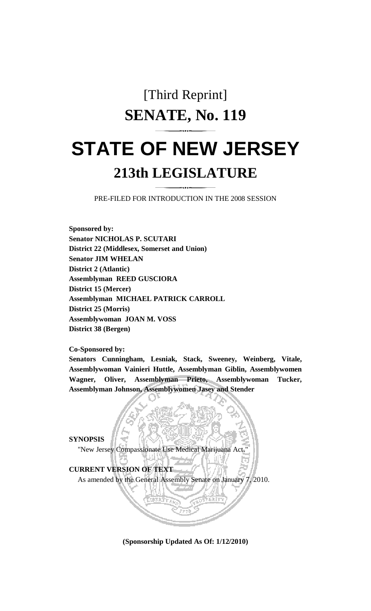# [Third Reprint] **SENATE, No. 119 STATE OF NEW JERSEY 213th LEGISLATURE**

PRE-FILED FOR INTRODUCTION IN THE 2008 SESSION

**Sponsored by: Senator NICHOLAS P. SCUTARI District 22 (Middlesex, Somerset and Union) Senator JIM WHELAN District 2 (Atlantic) Assemblyman REED GUSCIORA District 15 (Mercer) Assemblyman MICHAEL PATRICK CARROLL District 25 (Morris) Assemblywoman JOAN M. VOSS District 38 (Bergen)** 

**Co-Sponsored by:** 

**Senators Cunningham, Lesniak, Stack, Sweeney, Weinberg, Vitale, Assemblywoman Vainieri Huttle, Assemblyman Giblin, Assemblywomen Wagner, Oliver, Assemblyman Prieto, Assemblywoman Tucker, Assemblyman Johnson, Assemblywomen Jasey and Stender** 

**SYNOPSIS** 

"New Jersey Compassionate Use Medical Marijuana Act."

**CURRENT VERSION OF TEXT** 

As amended by the General Assembly Senate on January 7, 2010.

**(Sponsorship Updated As Of: 1/12/2010)**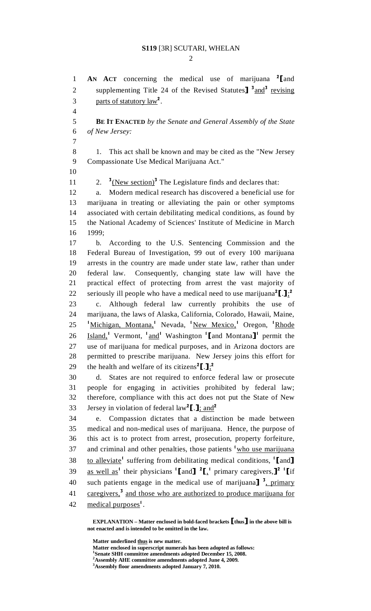$\mathcal{D}_{\mathcal{L}}$ 

**AN ACT** concerning the medical use of marijuana  $^2$ [and 2] supplementing Title 24 of the Revised Statutes  $^3$  and  $^3$  revising 2 supplementing Title 24 of the Revised Statutes] <sup>3</sup> and <sup>3</sup> revising 3 . parts of statutory  $law<sup>2</sup>$ . 4

5 **BE IT ENACTED** *by the Senate and General Assembly of the State*  6 *of New Jersey:*

7

8 1. This act shall be known and may be cited as the "New Jersey 9 Compassionate Use Medical Marijuana Act."

10

2. 11 2.  $\frac{3}{2}$  (New section)<sup>3</sup> The Legislature finds and declares that:

12 a. Modern medical research has discovered a beneficial use for 13 marijuana in treating or alleviating the pain or other symptoms 14 associated with certain debilitating medical conditions, as found by 15 the National Academy of Sciences' Institute of Medicine in March 16 1999;

17 b. According to the U.S. Sentencing Commission and the 18 Federal Bureau of Investigation, 99 out of every 100 marijuana 19 arrests in the country are made under state law, rather than under 20 federal law. Consequently, changing state law will have the 21 practical effect of protecting from arrest the vast majority of 22 seriously ill people who have a medical need to use marijuana<sup>2</sup>[.]<sub> $\frac{1}{2}$ </sub>

23 c. Although federal law currently prohibits the use of 24 marijuana, the laws of Alaska, California, Colorado, Hawaii, Maine, 25 <sup>1</sup> Michigan, Montana, Nevada, <sup>1</sup> New Mexico, 1 Oregon, 1 Rhode 26 Island,<sup>1</sup> Vermont, <sup>1</sup> and<sup>1</sup> Washington <sup>1</sup> [and Montana]<sup>1</sup> permit the 27 use of marijuana for medical purposes, and in Arizona doctors are 28 permitted to prescribe marijuana. New Jersey joins this effort for 29 the health and welfare of its citizens<sup>2</sup>[.] $\frac{1}{2}$ <sup>2</sup>

30 d. States are not required to enforce federal law or prosecute 31 people for engaging in activities prohibited by federal law; 32 therefore, compliance with this act does not put the State of New 33 Jersey in violation of federal  $law^2$ [.];  $\frac{and^2}{du^2}$ 

34 e. Compassion dictates that a distinction be made between 35 medical and non-medical uses of marijuana. Hence, the purpose of 36 this act is to protect from arrest, prosecution, property forfeiture, 37 and criminal and other penalties, those patients  $\frac{1}{2}$  who use marijuana 38 to alleviate<sup>1</sup> suffering from debilitating medical conditions,  $\text{I}$  and  $\text{I}$ 39 as well as<sup>1</sup> their physicians  $\left[$  and  $\right]$   $\left[$   $\frac{1}{2}$  primary caregivers,  $\right]$ <sup>2</sup>  $\left[$  if 40 such patients engage in the medical use of marijuana]  $\frac{3}{2}$ , primary and those who are authorized to produce marijuana for caregivers,<sup>3</sup> and those who are authorized to produce marijuana for 42 medical purposes<sup>1</sup>.

 **EXPLANATION – Matter enclosed in bold-faced brackets** [**thus**] **in the above bill is not enacted and is intended to be omitted in the law.** 

**Matter underlined thus is new matter.** 

 **Matter enclosed in superscript numerals has been adopted as follows: 1**

**Senate SHH committee amendments adopted December 15, 2008.** 

**<sup>2</sup> Assembly AHE committee amendments adopted June 4, 2009.** 

**<sup>3</sup> Assembly floor amendments adopted January 7, 2010.**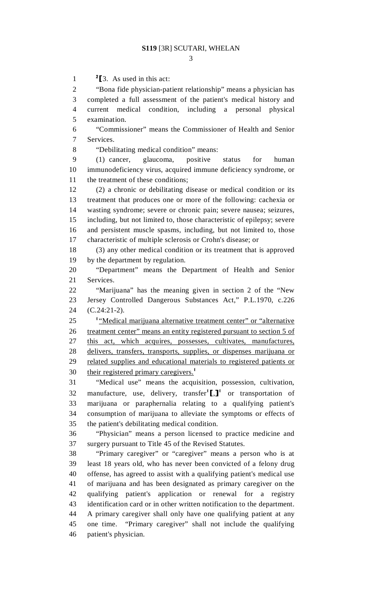$\frac{2}{2}$   $\frac{2}{3}$ . As used in this act:<br>2  $\frac{2}{3}$   $\frac{2}{3}$ 

"Bona fide physician-patient relationship" means a physician has 3 completed a full assessment of the patient's medical history and 4 current medical condition, including a personal physical 5 examination.

6 "Commissioner" means the Commissioner of Health and Senior 7 Services.

8 "Debilitating medical condition" means:

9 (1) cancer, glaucoma, positive status for human 10 immunodeficiency virus, acquired immune deficiency syndrome, or 11 the treatment of these conditions;

12 (2) a chronic or debilitating disease or medical condition or its 13 treatment that produces one or more of the following: cachexia or 14 wasting syndrome; severe or chronic pain; severe nausea; seizures, 15 including, but not limited to, those characteristic of epilepsy; severe 16 and persistent muscle spasms, including, but not limited to, those 17 characteristic of multiple sclerosis or Crohn's disease; or

18 (3) any other medical condition or its treatment that is approved 19 by the department by regulation.

20 "Department" means the Department of Health and Senior 21 Services.

22 "Marijuana" has the meaning given in section 2 of the "New 23 Jersey Controlled Dangerous Substances Act," P.L.1970, c.226 24 (C.24:21-2).

25 <sup>1</sup> Medical marijuana alternative treatment center" or "alternative" 26 treatment center" means an entity registered pursuant to section 5 of 27 this act, which acquires, possesses, cultivates, manufactures, 28 delivers, transfers, transports, supplies, or dispenses marijuana or 29 related supplies and educational materials to registered patients or 30 their registered primary caregivers.<sup>1</sup>

31 "Medical use" means the acquisition, possession, cultivation, 32 manufacture, use, delivery, transfer<sup>1</sup> $\llbracket . \rrbracket$  or transportation of 33 marijuana or paraphernalia relating to a qualifying patient's 34 consumption of marijuana to alleviate the symptoms or effects of 35 the patient's debilitating medical condition.

36 "Physician" means a person licensed to practice medicine and 37 surgery pursuant to Title 45 of the Revised Statutes.

38 "Primary caregiver" or "caregiver" means a person who is at 39 least 18 years old, who has never been convicted of a felony drug 40 offense, has agreed to assist with a qualifying patient's medical use 41 of marijuana and has been designated as primary caregiver on the 42 qualifying patient's application or renewal for a registry 43 identification card or in other written notification to the department. 44 A primary caregiver shall only have one qualifying patient at any 45 one time. "Primary caregiver" shall not include the qualifying 46 patient's physician.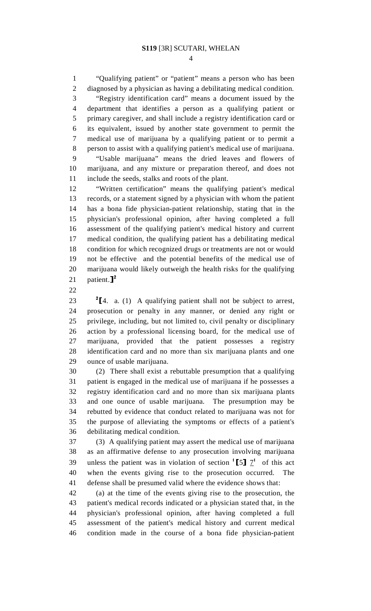1 "Qualifying patient" or "patient" means a person who has been 2 diagnosed by a physician as having a debilitating medical condition. 3 "Registry identification card" means a document issued by the 4 department that identifies a person as a qualifying patient or 5 primary caregiver, and shall include a registry identification card or 6 its equivalent, issued by another state government to permit the 7 medical use of marijuana by a qualifying patient or to permit a 8 person to assist with a qualifying patient's medical use of marijuana. 9 "Usable marijuana" means the dried leaves and flowers of

10 marijuana, and any mixture or preparation thereof, and does not 11 include the seeds, stalks and roots of the plant.

12 "Written certification" means the qualifying patient's medical 13 records, or a statement signed by a physician with whom the patient 14 has a bona fide physician-patient relationship, stating that in the 15 physician's professional opinion, after having completed a full 16 assessment of the qualifying patient's medical history and current 17 medical condition, the qualifying patient has a debilitating medical 18 condition for which recognized drugs or treatments are not or would 19 not be effective and the potential benefits of the medical use of 20 marijuana would likely outweigh the health risks for the qualifying 21 patient. $]^{2}$ 

22

23  $\frac{2}{4}$ . a. (1) A qualifying patient shall not be subject to arrest, 24 prosecution or penalty in any manner, or denied any right or prosecution or penalty in any manner, or denied any right or 25 privilege, including, but not limited to, civil penalty or disciplinary 26 action by a professional licensing board, for the medical use of 27 marijuana, provided that the patient possesses a registry 28 identification card and no more than six marijuana plants and one 29 ounce of usable marijuana.

30 (2) There shall exist a rebuttable presumption that a qualifying 31 patient is engaged in the medical use of marijuana if he possesses a 32 registry identification card and no more than six marijuana plants 33 and one ounce of usable marijuana. The presumption may be 34 rebutted by evidence that conduct related to marijuana was not for 35 the purpose of alleviating the symptoms or effects of a patient's 36 debilitating medical condition.

37 (3) A qualifying patient may assert the medical use of marijuana 38 as an affirmative defense to any prosecution involving marijuana 39 unless the patient was in violation of section  $1\left[5\right] \frac{7}{1}$  of this act 40 when the events giving rise to the prosecution occurred. The when the events giving rise to the prosecution occurred. 41 defense shall be presumed valid where the evidence shows that:

42 (a) at the time of the events giving rise to the prosecution, the 43 patient's medical records indicated or a physician stated that, in the 44 physician's professional opinion, after having completed a full 45 assessment of the patient's medical history and current medical 46 condition made in the course of a bona fide physician-patient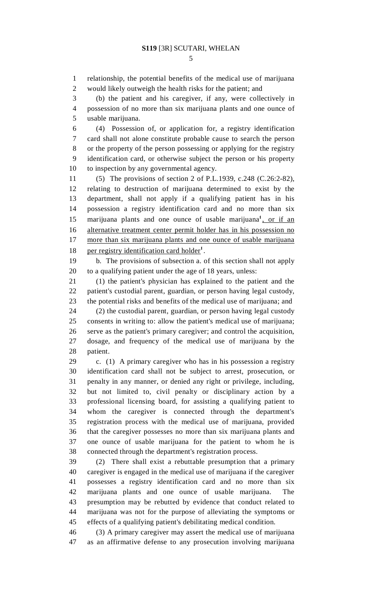1 relationship, the potential benefits of the medical use of marijuana 2 would likely outweigh the health risks for the patient; and

3 (b) the patient and his caregiver, if any, were collectively in 4 possession of no more than six marijuana plants and one ounce of 5 usable marijuana.

6 (4) Possession of, or application for, a registry identification 7 card shall not alone constitute probable cause to search the person 8 or the property of the person possessing or applying for the registry 9 identification card, or otherwise subject the person or his property 10 to inspection by any governmental agency.

11 (5) The provisions of section 2 of P.L.1939, c.248 (C.26:2-82), 12 relating to destruction of marijuana determined to exist by the 13 department, shall not apply if a qualifying patient has in his 14 possession a registry identification card and no more than six 15 marijuana plants and one ounce of usable marijuana<sup>1</sup>, or if an 16 alternative treatment center permit holder has in his possession no 17 more than six marijuana plants and one ounce of usable marijuana 18 per registry identification card holder<sup>1</sup>.

19 b. The provisions of subsection a. of this section shall not apply 20 to a qualifying patient under the age of 18 years, unless:

21 (1) the patient's physician has explained to the patient and the 22 patient's custodial parent, guardian, or person having legal custody, 23 the potential risks and benefits of the medical use of marijuana; and 24 (2) the custodial parent, guardian, or person having legal custody

25 consents in writing to: allow the patient's medical use of marijuana; 26 serve as the patient's primary caregiver; and control the acquisition, 27 dosage, and frequency of the medical use of marijuana by the 28 patient.

29 c. (1) A primary caregiver who has in his possession a registry 30 identification card shall not be subject to arrest, prosecution, or 31 penalty in any manner, or denied any right or privilege, including, 32 but not limited to, civil penalty or disciplinary action by a 33 professional licensing board, for assisting a qualifying patient to 34 whom the caregiver is connected through the department's 35 registration process with the medical use of marijuana, provided 36 that the caregiver possesses no more than six marijuana plants and 37 one ounce of usable marijuana for the patient to whom he is 38 connected through the department's registration process.

39 (2) There shall exist a rebuttable presumption that a primary 40 caregiver is engaged in the medical use of marijuana if the caregiver 41 possesses a registry identification card and no more than six 42 marijuana plants and one ounce of usable marijuana. The 43 presumption may be rebutted by evidence that conduct related to 44 marijuana was not for the purpose of alleviating the symptoms or 45 effects of a qualifying patient's debilitating medical condition.

46 (3) A primary caregiver may assert the medical use of marijuana 47 as an affirmative defense to any prosecution involving marijuana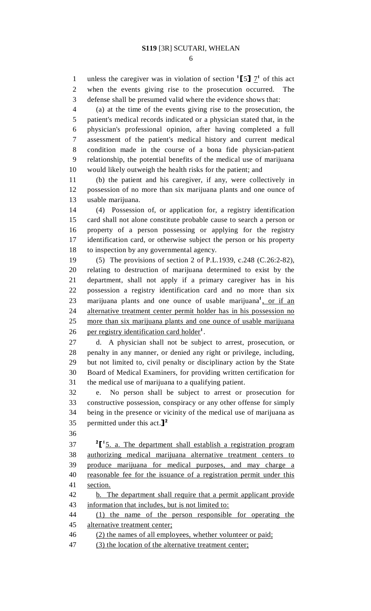1 unless the caregiver was in violation of section  $\frac{1}{5}$   $\frac{7}{1}$  of this act 2 when the events giving rise to the prosecution occurred. The 3 defense shall be presumed valid where the evidence shows that:

4 (a) at the time of the events giving rise to the prosecution, the 5 patient's medical records indicated or a physician stated that, in the 6 physician's professional opinion, after having completed a full 7 assessment of the patient's medical history and current medical 8 condition made in the course of a bona fide physician-patient 9 relationship, the potential benefits of the medical use of marijuana 10 would likely outweigh the health risks for the patient; and

11 (b) the patient and his caregiver, if any, were collectively in 12 possession of no more than six marijuana plants and one ounce of 13 usable marijuana.

14 (4) Possession of, or application for, a registry identification 15 card shall not alone constitute probable cause to search a person or 16 property of a person possessing or applying for the registry 17 identification card, or otherwise subject the person or his property 18 to inspection by any governmental agency.

19 (5) The provisions of section 2 of P.L.1939, c.248 (C.26:2-82), 20 relating to destruction of marijuana determined to exist by the 21 department, shall not apply if a primary caregiver has in his 22 possession a registry identification card and no more than six 23 marijuana plants and one ounce of usable marijuana<sup>1</sup>, or if an 24 alternative treatment center permit holder has in his possession no 25 more than six marijuana plants and one ounce of usable marijuana 26 per registry identification card holder<sup>1</sup>.

27 d. A physician shall not be subject to arrest, prosecution, or 28 penalty in any manner, or denied any right or privilege, including, 29 but not limited to, civil penalty or disciplinary action by the State 30 Board of Medical Examiners, for providing written certification for 31 the medical use of marijuana to a qualifying patient.

32 e. No person shall be subject to arrest or prosecution for 33 constructive possession, conspiracy or any other offense for simply 34 being in the presence or vicinity of the medical use of marijuana as 35 permitted under this act. $]^2$ 

36

 $27 \frac{\text{2}}{\text{1} \cdot \text{5}}$ . a. The department shall establish a registration program 38 authorizing medical marijuana alternative treatment centers to 39 produce marijuana for medical purposes, and may charge a 40 reasonable fee for the issuance of a registration permit under this 41 section.

42 b. The department shall require that a permit applicant provide 43 information that includes, but is not limited to:

44 (1) the name of the person responsible for operating the 45 alternative treatment center;

46 (2) the names of all employees, whether volunteer or paid;

47 (3) the location of the alternative treatment center;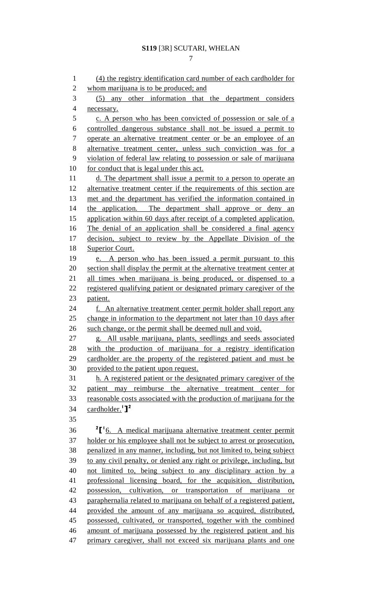7

1 (4) the registry identification card number of each cardholder for 2 whom marijuana is to be produced; and 3 (5) any other information that the department considers 4 necessary. 5 c. A person who has been convicted of possession or sale of a 6 controlled dangerous substance shall not be issued a permit to 7 operate an alternative treatment center or be an employee of an 8 alternative treatment center, unless such conviction was for a 9 violation of federal law relating to possession or sale of marijuana 10 for conduct that is legal under this act. 11 d. The department shall issue a permit to a person to operate an 12 alternative treatment center if the requirements of this section are 13 met and the department has verified the information contained in 14 the application. The department shall approve or deny an 15 application within 60 days after receipt of a completed application. 16 The denial of an application shall be considered a final agency 17 decision, subject to review by the Appellate Division of the 18 Superior Court. 19 e. A person who has been issued a permit pursuant to this 20 section shall display the permit at the alternative treatment center at 21 all times when marijuana is being produced, or dispensed to a 22 registered qualifying patient or designated primary caregiver of the 23 patient. 24 f. An alternative treatment center permit holder shall report any 25 change in information to the department not later than 10 days after 26 such change, or the permit shall be deemed null and void. 27 g. All usable marijuana, plants, seedlings and seeds associated 28 with the production of marijuana for a registry identification 29 cardholder are the property of the registered patient and must be 30 provided to the patient upon request. 31 h. A registered patient or the designated primary caregiver of the 32 patient may reimburse the alternative treatment center for 33 reasonable costs associated with the production of marijuana for the 34 cardholder.<sup>1</sup>]<sup>2</sup> 35 <sup>2</sup>[<sup>1</sup>6. A medical marijuana alternative treatment center permit 37 holder or his employee shall not be subject to arrest or prosecution, 38 penalized in any manner, including, but not limited to, being subject 39 to any civil penalty, or denied any right or privilege, including, but 40 not limited to, being subject to any disciplinary action by a 41 professional licensing board, for the acquisition, distribution, 42 possession, cultivation, or transportation of marijuana or 43 paraphernalia related to marijuana on behalf of a registered patient, 44 provided the amount of any marijuana so acquired, distributed, 45 possessed, cultivated, or transported, together with the combined 46 amount of marijuana possessed by the registered patient and his 47 primary caregiver, shall not exceed six marijuana plants and one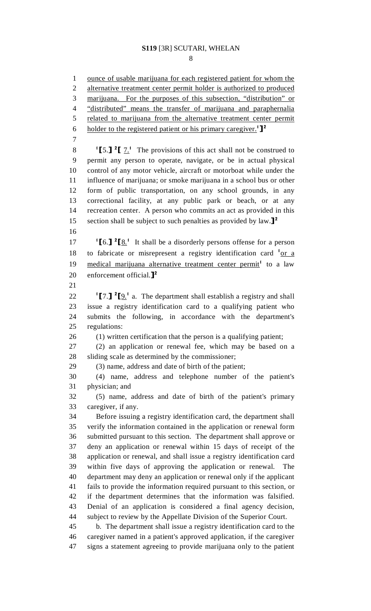8

1 ounce of usable marijuana for each registered patient for whom the 2 alternative treatment center permit holder is authorized to produced 3 marijuana. For the purposes of this subsection, "distribution" or 4 "distributed" means the transfer of marijuana and paraphernalia 5 related to marijuana from the alternative treatment center permit 6 holder to the registered patient or his primary caregiver.<sup>1</sup>]<sup>2</sup> 7 <sup>1</sup>[5.] <sup>2</sup>[  $\frac{7}{1}$ <sup>1</sup>. The provisions of this act shall not be construed to 9 permit any person to operate, navigate, or be in actual physical 10 control of any motor vehicle, aircraft or motorboat while under the 11 influence of marijuana; or smoke marijuana in a school bus or other 12 form of public transportation, on any school grounds, in any 13 correctional facility, at any public park or beach, or at any 14 recreation center. A person who commits an act as provided in this 15 section shall be subject to such penalties as provided by law.<sup>[2]</sup> 16 17  $\left[6.\right]$   $\left[2\right]$  It shall be a disorderly persons offense for a person 18 to fabricate or misrepresent a registry identification card  $1_{\text{or a}}$ 19 medical marijuana alternative treatment center permit<sup>1</sup> to a law 20 enforcement official. $\mathbf{1}^2$ 21 22  $\left[\begin{matrix}7\\1\end{matrix}\right]$   $\left[\begin{matrix}9\\2\end{matrix}\right]$  a. The department shall establish a registry and shall 23 issue a registry identification card to a qualifying patient who 24 submits the following, in accordance with the department's 25 regulations: 26 (1) written certification that the person is a qualifying patient; 27 (2) an application or renewal fee, which may be based on a 28 sliding scale as determined by the commissioner; 29 (3) name, address and date of birth of the patient; 30 (4) name, address and telephone number of the patient's 31 physician; and 32 (5) name, address and date of birth of the patient's primary 33 caregiver, if any. 34 Before issuing a registry identification card, the department shall 35 verify the information contained in the application or renewal form 36 submitted pursuant to this section. The department shall approve or 37 deny an application or renewal within 15 days of receipt of the 38 application or renewal, and shall issue a registry identification card 39 within five days of approving the application or renewal. The 40 department may deny an application or renewal only if the applicant 41 fails to provide the information required pursuant to this section, or 42 if the department determines that the information was falsified. 43 Denial of an application is considered a final agency decision, 44 subject to review by the Appellate Division of the Superior Court. 45 b. The department shall issue a registry identification card to the 46 caregiver named in a patient's approved application, if the caregiver 47 signs a statement agreeing to provide marijuana only to the patient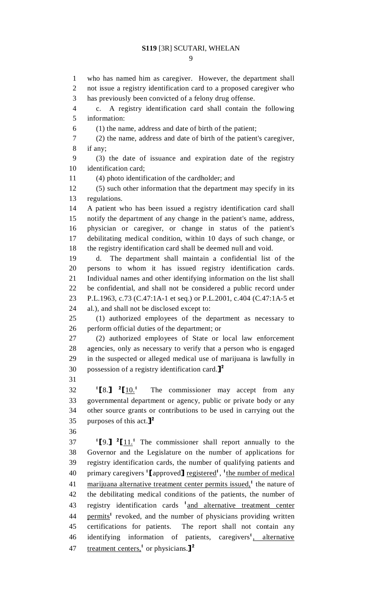#### 9

1 who has named him as caregiver. However, the department shall 2 not issue a registry identification card to a proposed caregiver who 3 has previously been convicted of a felony drug offense. 4 c. A registry identification card shall contain the following 5 information: 6 (1) the name, address and date of birth of the patient; 7 (2) the name, address and date of birth of the patient's caregiver, 8 if any; 9 (3) the date of issuance and expiration date of the registry 10 identification card; 11 (4) photo identification of the cardholder; and 12 (5) such other information that the department may specify in its 13 regulations. 14 A patient who has been issued a registry identification card shall 15 notify the department of any change in the patient's name, address, 16 physician or caregiver, or change in status of the patient's 17 debilitating medical condition, within 10 days of such change, or 18 the registry identification card shall be deemed null and void. 19 d. The department shall maintain a confidential list of the 20 persons to whom it has issued registry identification cards. 21 Individual names and other identifying information on the list shall 22 be confidential, and shall not be considered a public record under 23 P.L.1963, c.73 (C.47:1A-1 et seq.) or P.L.2001, c.404 (C.47:1A-5 et 24 al.), and shall not be disclosed except to: 25 (1) authorized employees of the department as necessary to 26 perform official duties of the department; or 27 (2) authorized employees of State or local law enforcement 28 agencies, only as necessary to verify that a person who is engaged 29 in the suspected or alleged medical use of marijuana is lawfully in 30 possession of a registry identification card.<sup>[2]</sup> 31  $\binom{1}{8}$   $\binom{2}{3}$  $12 \t{10.1}$  The commissioner may accept from any<br>33 governmental department or agency, public or private body or any governmental department or agency, public or private body or any 34 other source grants or contributions to be used in carrying out the 35 purposes of this act. $]^2$ 36  $1^2$ [9.]  $2^2$ [11.<sup>1</sup> The commissioner shall report annually to the 38 Governor and the Legislature on the number of applications for 39 registry identification cards, the number of qualifying patients and 40 primary caregivers '[approved] <u>registered</u>', <sup>1</sup>the number of medical 41 marijuana alternative treatment center permits issued,<sup>1</sup> the nature of 42 the debilitating medical conditions of the patients, the number of 43 registry identification cards <sup>1</sup> and alternative treatment center 44 permits<sup>1</sup> revoked, and the number of physicians providing written 45 certifications for patients. The report shall not contain any 46 identifying information of patients, caregivers<sup>1</sup>, alternative 47 treatment centers,<sup>1</sup> or physicians.]<sup>2</sup>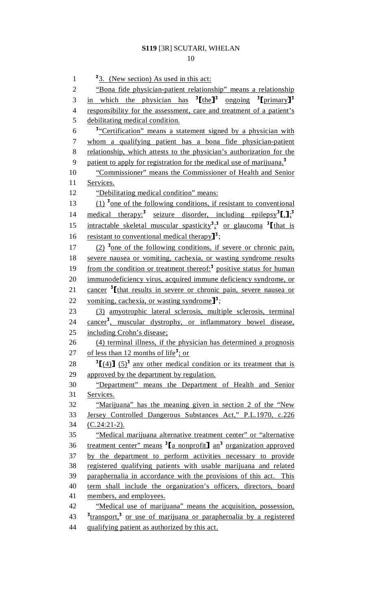$\frac{2}{3}$ . (New section) As used in this act: 2 "Bona fide physician-patient relationship" means a relationship 3 in which the physician has  ${}^{3}$ [the]<sup>3</sup> ongoing  ${}^{3}$ [primary]<sup>3</sup> 4 responsibility for the assessment, care and treatment of a patient's 5 debilitating medical condition. <sup>3</sup> <u>Certification</u> means a statement signed by a physician with 7 whom a qualifying patient has a bona fide physician-patient 8 relationship, which attests to the physician's authorization for the 9 patient to apply for registration for the medical use of marijuana.<sup>3</sup> 10 "Commissioner" means the Commissioner of Health and Senior 11 Services. 12 "Debilitating medical condition" means:  $(1)$ <sup>3</sup> one of the following conditions, if resistant to conventional 14 medical therapy:<sup>3</sup> seizure disorder, including epilepsy<sup>3</sup>[<sub>2</sub>];<sup>3</sup> 15 intractable skeletal muscular spasticity<sup>3</sup>;<sup>3</sup> or glaucoma <sup>3</sup> [that is 16 resistant to conventional medical therapy<sup>3</sup>;<br>17 (2) <sup>3</sup> one of the following conditions, if  $(2)$ <sup>3</sup> one of the following conditions, if severe or chronic pain, 18 severe nausea or vomiting, cachexia, or wasting syndrome results 19 from the condition or treatment thereof: $3$  positive status for human 20 immunodeficiency virus, acquired immune deficiency syndrome, or 21 cancer  $\frac{3}{\text{t} + \text{t}}$  cancer  $\frac{1}{3}$  cancer  $\frac{1}{3}$ . 22 vomiting, cachexia, or wasting syndrome<sup> $3$ </sup>;<br>23 (3) amyotrophic lateral sclerosis, multi 23 (3) amyotrophic lateral sclerosis, multiple sclerosis, terminal 24 cancer<sup>3</sup>, muscular dystrophy, or inflammatory bowel disease, 25 including Crohn's disease; 26 (4) terminal illness, if the physician has determined a prognosis 27 of less than 12 months of life<sup>3</sup>; or 28  $\frac{3[(4)] (5)^3}{2}$  any other medical condition or its treatment that is 29 approved by the department by regulation. 30 "Department" means the Department of Health and Senior 31 Services. 32 "Marijuana" has the meaning given in section 2 of the "New 33 Jersey Controlled Dangerous Substances Act," P.L.1970, c.226 34 (C.24:21-2). 35 "Medical marijuana alternative treatment center" or "alternative  $\frac{36}{100}$  treatment center" means  $\frac{3}{100}$  monprofit  $\frac{1}{100}$  and  $\frac{3}{100}$  organization approved 37 by the department to perform activities necessary to provide 38 registered qualifying patients with usable marijuana and related 39 paraphernalia in accordance with the provisions of this act. This 40 term shall include the organization's officers, directors, board 41 members, and employees. 42 "Medical use of marijuana" means the acquisition, possession, <sup>3</sup>transport,<sup>3</sup> or use of marijuana or paraphernalia by a registered 44 qualifying patient as authorized by this act.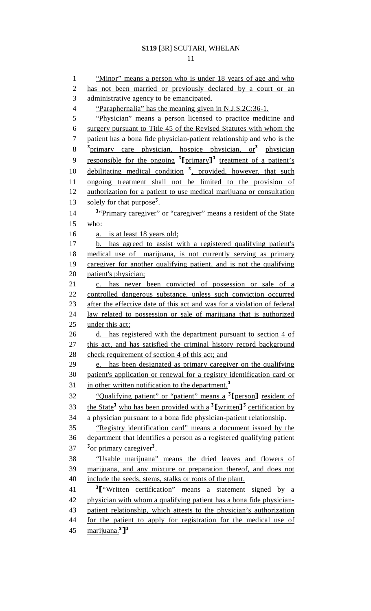#### 11

1 "Minor" means a person who is under 18 years of age and who 2 has not been married or previously declared by a court or an 3 administrative agency to be emancipated. 4 "Paraphernalia" has the meaning given in N.J.S.2C:36-1. 5 "Physician" means a person licensed to practice medicine and 6 surgery pursuant to Title 45 of the Revised Statutes with whom the 7 patient has a bona fide physician-patient relationship and who is the <sup>3</sup> primary care physician, hospice physician, or<sup>3</sup> physician 9 responsible for the ongoing  $\frac{3}{2}$  [primary]<sup>3</sup> treatment of a patient's 10 debilitating medical condition <sup>3</sup>, provided, however, that such 11 ongoing treatment shall not be limited to the provision of 12 authorization for a patient to use medical marijuana or consultation 13 solely for that purpose<sup>3</sup>. <sup>3</sup> *Primary caregiver*" or "caregiver" means a resident of the State 15 who: 16 a. is at least 18 years old; 17 b. has agreed to assist with a registered qualifying patient's 18 medical use of marijuana, is not currently serving as primary 19 caregiver for another qualifying patient, and is not the qualifying 20 patient's physician; 21 c. has never been convicted of possession or sale of a 22 controlled dangerous substance, unless such conviction occurred 23 after the effective date of this act and was for a violation of federal 24 law related to possession or sale of marijuana that is authorized 25 under this act; 26 d. has registered with the department pursuant to section 4 of 27 this act, and has satisfied the criminal history record background 28 check requirement of section 4 of this act; and 29 e. has been designated as primary caregiver on the qualifying 30 patient's application or renewal for a registry identification card or 31 in other written notification to the department.<sup>3</sup> 32 "Qualifying patient" or "patient" means a  $\frac{3}{2}$ [person] resident of the State<sup>3</sup> who has been provided with a  $\frac{3}{2}$ [written]<sup>3</sup> certification by 33 the State<sup>3</sup> who has been provided with a <sup>3</sup>[written]<sup>3</sup> certification by 34 a physician pursuant to a bona fide physician-patient relationship. 35 "Registry identification card" means a document issued by the 36 department that identifies a person as a registered qualifying patient 37 <sup>3</sup> or primary caregiver<sup>3</sup>. 38 "Usable marijuana" means the dried leaves and flowers of 39 marijuana, and any mixture or preparation thereof, and does not 40 include the seeds, stems, stalks or roots of the plant. 41  $\frac{3}{\pi}$   $\frac{3}{\pi}$   $\frac{4}{\pi}$  which certification" means a statement signed by a 42 physician with whom a qualifying patient has a bona fide physicianphysician with whom a qualifying patient has a bona fide physician-43 patient relationship, which attests to the physician's authorization 44 for the patient to apply for registration for the medical use of 45 marijuana.<sup>2</sup>]<sup>3</sup>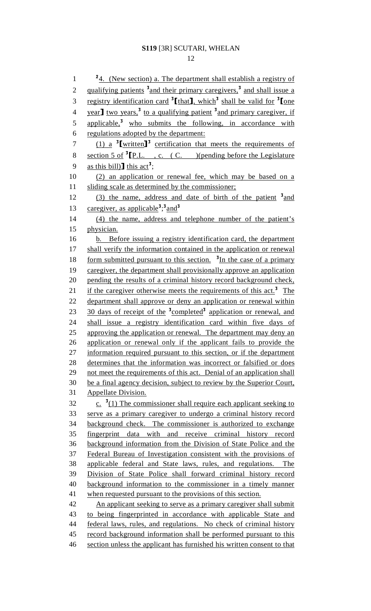$\frac{24}{1}$  (New section) a. The department shall establish a registry of 2 qualifying patients <sup>3</sup> and their primary caregivers,<sup>3</sup> and shall issue a 3 registry identification card  $\frac{3 \text{[that]}}{\text{[that]}}$ , which  $\frac{3 \text{[shall]}}{\text{[the valid]}}$  for  $\frac{3 \text{[the]}}{\text{[the]}}$  $\frac{1}{2}$  year] two years,<sup>3</sup> to a qualifying patient <sup>3</sup> and primary caregiver, if 5 applicable, $\frac{3}{5}$  who submits the following, in accordance with 6 regulations adopted by the department:  $(1)$  a <sup>3</sup>[written]<sup>3</sup> certification that meets the requirements of section 5 of  ${}^{3}$  [P.L., c. (C. )(pending before the Legislature as this bill)] this act<sup>3</sup>; 9 as this bill) this act<sup>3</sup>;<br>10 (2) an application  $(2)$  an application or renewal fee, which may be based on a 11 sliding scale as determined by the commissioner;  $(3)$  the name, address and date of birth of the patient  $3$  and 13 caregiver, as applicable<sup>3</sup>;<sup>3</sup> and<sup>3</sup> 14 (4) the name, address and telephone number of the patient's 15 physician. 16 b. Before issuing a registry identification card, the department 17 shall verify the information contained in the application or renewal 18 form submitted pursuant to this section.  $\frac{3}{\ln}$  the case of a primary 19 caregiver, the department shall provisionally approve an application 20 pending the results of a criminal history record background check, 21 if the caregiver otherwise meets the requirements of this act.<sup>3</sup> The 22 department shall approve or deny an application or renewal within 23 30 days of receipt of the <sup>3</sup>completed<sup>3</sup> application or renewal, and 24 shall issue a registry identification card within five days of 25 approving the application or renewal. The department may deny an 26 application or renewal only if the applicant fails to provide the 27 information required pursuant to this section, or if the department 28 determines that the information was incorrect or falsified or does 29 not meet the requirements of this act. Denial of an application shall 30 be a final agency decision, subject to review by the Superior Court, 31 Appellate Division. 32  $\frac{c_1}{c_2}$   $\frac{3(1)}{10}$  The commissioner shall require each applicant seeking to 33 serve as a primary caregiver to undergo a criminal history record 34 background check. The commissioner is authorized to exchange 35 fingerprint data with and receive criminal history record 36 background information from the Division of State Police and the 37 Federal Bureau of Investigation consistent with the provisions of 38 applicable federal and State laws, rules, and regulations. The 39 Division of State Police shall forward criminal history record 40 background information to the commissioner in a timely manner 41 when requested pursuant to the provisions of this section. 42 An applicant seeking to serve as a primary caregiver shall submit 43 to being fingerprinted in accordance with applicable State and 44 federal laws, rules, and regulations. No check of criminal history 45 record background information shall be performed pursuant to this 46 section unless the applicant has furnished his written consent to that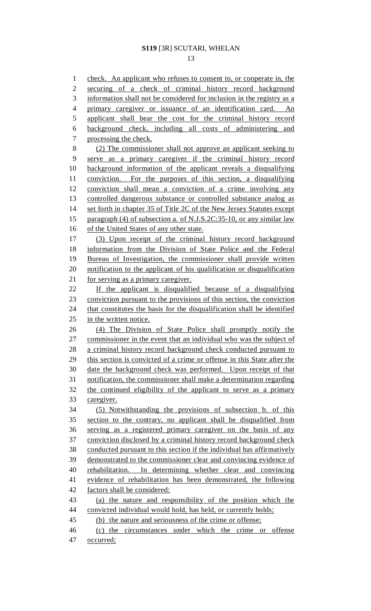13

1 check. An applicant who refuses to consent to, or cooperate in, the 2 securing of a check of criminal history record background 3 information shall not be considered for inclusion in the registry as a 4 primary caregiver or issuance of an identification card. An 5 applicant shall bear the cost for the criminal history record 6 background check, including all costs of administering and 7 processing the check. 8 (2) The commissioner shall not approve an applicant seeking to 9 serve as a primary caregiver if the criminal history record 10 background information of the applicant reveals a disqualifying 11 conviction. For the purposes of this section, a disqualifying 12 conviction shall mean a conviction of a crime involving any 13 controlled dangerous substance or controlled substance analog as 14 set forth in chapter 35 of Title 2C of the New Jersey Statutes except 15 paragraph (4) of subsection a. of N.J.S.2C:35-10, or any similar law 16 of the United States of any other state. 17 (3) Upon receipt of the criminal history record background 18 information from the Division of State Police and the Federal 19 Bureau of Investigation, the commissioner shall provide written 20 notification to the applicant of his qualification or disqualification 21 for serving as a primary caregiver. 22 If the applicant is disqualified because of a disqualifying 23 conviction pursuant to the provisions of this section, the conviction 24 that constitutes the basis for the disqualification shall be identified 25 in the written notice. 26 (4) The Division of State Police shall promptly notify the 27 commissioner in the event that an individual who was the subject of 28 a criminal history record background check conducted pursuant to 29 this section is convicted of a crime or offense in this State after the 30 date the background check was performed. Upon receipt of that 31 notification, the commissioner shall make a determination regarding 32 the continued eligibility of the applicant to serve as a primary 33 caregiver. 34 (5) Notwithstanding the provisions of subsection b. of this 35 section to the contrary, no applicant shall be disqualified from 36 serving as a registered primary caregiver on the basis of any 37 conviction disclosed by a criminal history record background check 38 conducted pursuant to this section if the individual has affirmatively 39 demonstrated to the commissioner clear and convincing evidence of 40 rehabilitation. In determining whether clear and convincing 41 evidence of rehabilitation has been demonstrated, the following 42 factors shall be considered: 43 (a) the nature and responsibility of the position which the 44 convicted individual would hold, has held, or currently holds; 45 (b) the nature and seriousness of the crime or offense; 46 (c) the circumstances under which the crime or offense

47 occurred;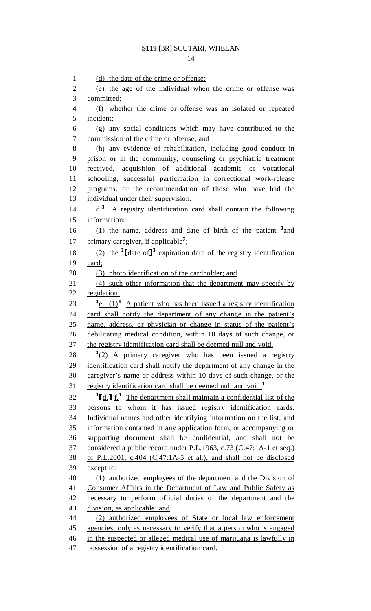1 (d) the date of the crime or offense; 2 (e) the age of the individual when the crime or offense was 3 committed; 4 (f) whether the crime or offense was an isolated or repeated 5 incident; 6 (g) any social conditions which may have contributed to the 7 commission of the crime or offense; and 8 (h) any evidence of rehabilitation, including good conduct in 9 prison or in the community, counseling or psychiatric treatment 10 received, acquisition of additional academic or vocational 11 schooling, successful participation in correctional work-release 12 programs, or the recommendation of those who have had the 13 individual under their supervision.  $14$  d.<sup>3</sup> A registry identification card shall contain the following 15 information: 16  $(1)$  the name, address and date of birth of the patient  $3$  and 17 primary caregiver, if applicable<sup>3</sup>; 18 (2) the <sup>3</sup>  $\text{date of } J^3$  expiration date of the registry identification 19 card; 20 (3) photo identification of the cardholder; and 21 (4) such other information that the department may specify by 22 regulation. 23  $\frac{3}{2}$   $\frac{1}{2}$  A patient who has been issued a registry identification 24 card shall notify the department of any change in the patient's 25 name, address, or physician or change in status of the patient's 26 debilitating medical condition, within 10 days of such change, or 27 the registry identification card shall be deemed null and void.  $3(2)$  A primary caregiver who has been issued a registry 29 identification card shall notify the department of any change in the 30 caregiver's name or address within 10 days of such change, or the 31 registry identification card shall be deemed null and void.<sup>3</sup>  $\frac{32}{\text{Id.}}$   $\frac{1}{\text{Id.}}$  The department shall maintain a confidential list of the 33 persons to whom it has issued registry identification cards. 34 Individual names and other identifying information on the list, and 35 information contained in any application form, or accompanying or 36 supporting document shall be confidential, and shall not be 37 considered a public record under P.L.1963, c.73 (C.47:1A-1 et seq.) 38 or P.L.2001, c.404 (C.47:1A-5 et al.), and shall not be disclosed 39 except to: 40 (1) authorized employees of the department and the Division of 41 Consumer Affairs in the Department of Law and Public Safety as 42 necessary to perform official duties of the department and the 43 division, as applicable; and 44 (2) authorized employees of State or local law enforcement 45 agencies, only as necessary to verify that a person who is engaged 46 in the suspected or alleged medical use of marijuana is lawfully in 47 possession of a registry identification card.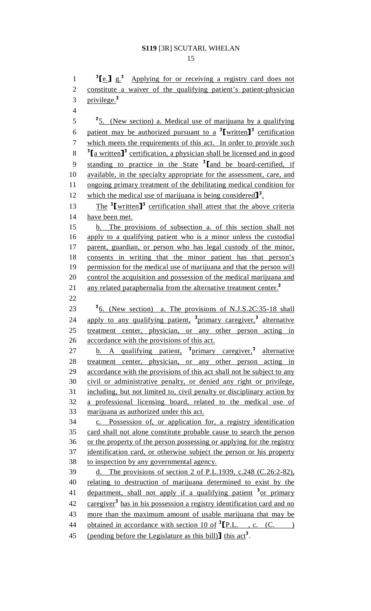$\frac{3}{e}$   $\frac{1}{e}$   $\frac{1}{2}$   $\frac{1}{2}$  Applying for or receiving a registry card does not 2 constitute a waiver of the qualifying patient's patient-physician 3  $privilege.<sup>2</sup>$ 4  $\frac{25}{15}$  (New section) a. Medical use of marijuana by a qualifying 6 patient may be authorized pursuant to a  $\frac{3}{2}$  written]<sup>3</sup> certification 7 which meets the requirements of this act. In order to provide such  $\frac{3}{4}$ [a written]<sup>3</sup> certification, a physician shall be licensed and in good 9 standing to practice in the State  ${}^{3}$ [and be board-certified, if available, in the specialty appropriate for the assessment, care, and available, in the specialty appropriate for the assessment, care, and 11 ongoing primary treatment of the debilitating medical condition for 12 which the medical use of marijuana is being considered  $\mathbf{J}^3$ .<br>13 The <sup>3</sup> [written ]<sup>3</sup> certification shall attest that the above  $\frac{7}{13}$  The <sup>3</sup> [written]<sup>3</sup> certification shall attest that the above criteria 14 have been met. 15 b. The provisions of subsection a. of this section shall not 16 apply to a qualifying patient who is a minor unless the custodial 17 parent, guardian, or person who has legal custody of the minor, 18 consents in writing that the minor patient has that person's 19 permission for the medical use of marijuana and that the person will 20 control the acquisition and possession of the medical marijuana and 21 any related paraphernalia from the alternative treatment center.<sup>2</sup> 22 23  $\frac{2}{6}$ . (New section) a. The provisions of N.J.S.2C:35-18 shall 24 apply to any qualifying patient, <sup>3</sup>primary caregiver,<sup>3</sup> alternative 25 treatment center, physician, or any other person acting in 26 accordance with the provisions of this act. 27 b. A qualifying patient, <sup>3</sup>primary caregiver,<sup>3</sup> alternative 28 treatment center, physician, or any other person acting in 29 accordance with the provisions of this act shall not be subject to any 30 civil or administrative penalty, or denied any right or privilege, 31 including, but not limited to, civil penalty or disciplinary action by 32 a professional licensing board, related to the medical use of 33 marijuana as authorized under this act. 34 c. Possession of, or application for, a registry identification 35 card shall not alone constitute probable cause to search the person 36 or the property of the person possessing or applying for the registry 37 identification card, or otherwise subject the person or his property 38 to inspection by any governmental agency. 39 d. The provisions of section 2 of P.L.1939, c.248 (C.26:2-82), 40 relating to destruction of marijuana determined to exist by the 41 department, shall not apply if a qualifying patient  $3$  or primary 42 caregiver<sup>3</sup> has in his possession a registry identification card and no 43 more than the maximum amount of usable marijuana that may be 44 obtained in accordance with section 10 of  ${}^{3}[\text{P.L.}, \text{c. (C.})$ <br>45 (pending before the Legislature as this bill) this act<sup>3</sup>. (pending before the Legislature as this bill)] this  $act<sup>3</sup>$ .

15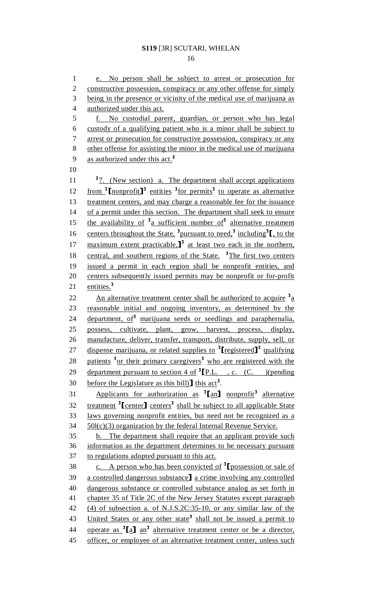16

1 e. No person shall be subject to arrest or prosecution for 2 constructive possession, conspiracy or any other offense for simply 3 being in the presence or vicinity of the medical use of marijuana as 4 authorized under this act. 5 f. No custodial parent, guardian, or person who has legal 6 custody of a qualifying patient who is a minor shall be subject to 7 arrest or prosecution for constructive possession, conspiracy or any 8 other offense for assisting the minor in the medical use of marijuana 9 as authorized under this act.<sup>2</sup> 10  $27.$  (New section) a. The department shall accept applications 12 from  $\frac{3}{2}$  [nonprofit]<sup>3</sup> entities  $\frac{3}{2}$  for permits<sup>3</sup> to operate as alternative 13 treatment centers, and may charge a reasonable fee for the issuance 14 of a permit under this section. The department shall seek to ensure 15 the availability of  $3a$  sufficient number of alternative treatment 16 centers throughout the State, <sup>3</sup> pursuant to need,<sup>3</sup> including<sup>3</sup>  $\left[$ , to the 17 maximum extent practicable.<sup>3</sup> at least two each in the northern,<br>18 central, and southern regions of the State.<sup>3</sup>The first two centers central, and southern regions of the State.  $\frac{3}{8}$ The first two centers 19 issued a permit in each region shall be nonprofit entities, and 20 centers subsequently issued permits may be nonprofit or for-profit 21  $entities.<sup>3</sup>$ 22 An alternative treatment center shall be authorized to acquire  $\frac{3}{4}$ 23 reasonable initial and ongoing inventory, as determined by the  $24$  department,  $of<sup>3</sup>$  marijuana seeds or seedlings and paraphernalia, 25 possess, cultivate, plant, grow, harvest, process, display, 26 manufacture, deliver, transfer, transport, distribute, supply, sell, or 27 dispense marijuana, or related supplies to  $\frac{3}{2}$  registered  $\frac{3}{2}$  qualifying 28 patients <sup>3</sup> or their primary caregivers<sup>3</sup> who are registered with the department pursuant to section 4 of  ${}^{3}[\text{P.L.}$ , c. (C. )(pending 30 before the Legislature as this bill) **1** this act<sup>3</sup>. 30 before the Legislature as this bill)  $\left[ \text{ this act}^3 \right]$ <br>31 . Applicants for authorization as  $\left[ \text{an} \right]$ 31 Applicants for authorization as  ${}^{3}$ [an] nonprofit<sup>3</sup> alternative  $\frac{32}{\text{treatment}}$   $\frac{3}{\text{tcenter}}$  centers<sup>3</sup> shall be subject to all applicable State 33 laws governing nonprofit entities, but need not be recognized as a  $34 \quad 50$ l(c)(3) organization by the federal Internal Revenue Service. 35 b. The department shall require that an applicant provide such 36 information as the department determines to be necessary pursuant 37 to regulations adopted pursuant to this act. c. A person who has been convicted of  $\frac{3}{2}$ [possession or sale of 39 a controlled dangerous substance] a crime involving any controlled 39 a controlled dangerous substance] a crime involving any controlled<br>40 dangerous substance or controlled substance analog as set forth in dangerous substance or controlled substance analog as set forth in 41 chapter 35 of Title 2C of the New Jersey Statutes except paragraph 42 (4) of subsection a. of N.J.S.2C:35-10, or any similar law of the 43 United States or any other state<sup>3</sup> shall not be issued a permit to 44 operate as  ${}^{3}$ [a] an<sup>3</sup> alternative treatment center or be a director, 45 officer, or employee of an alternative treatment center, unless such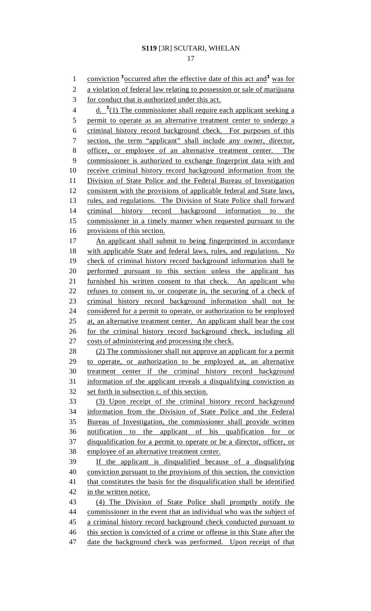17

1 conviction <sup>3</sup> occurred after the effective date of this act and <sup>3</sup> was for 2 a violation of federal law relating to possession or sale of marijuana 3 for conduct that is authorized under this act. 4  $\frac{d}{dx}$   $\frac{3(1)}{x}$  The commissioner shall require each applicant seeking a 5 permit to operate as an alternative treatment center to undergo a 6 criminal history record background check. For purposes of this 7 section, the term "applicant" shall include any owner, director, 8 officer, or employee of an alternative treatment center. The 9 commissioner is authorized to exchange fingerprint data with and 10 receive criminal history record background information from the 11 Division of State Police and the Federal Bureau of Investigation 12 consistent with the provisions of applicable federal and State laws, 13 rules, and regulations. The Division of State Police shall forward 14 criminal history record background information to the 15 commissioner in a timely manner when requested pursuant to the 16 provisions of this section. 17 An applicant shall submit to being fingerprinted in accordance 18 with applicable State and federal laws, rules, and regulations. No 19 check of criminal history record background information shall be 20 performed pursuant to this section unless the applicant has 21 furnished his written consent to that check. An applicant who 22 refuses to consent to, or cooperate in, the securing of a check of 23 criminal history record background information shall not be 24 considered for a permit to operate, or authorization to be employed 25 at, an alternative treatment center. An applicant shall bear the cost 26 for the criminal history record background check, including all 27 costs of administering and processing the check. 28 (2) The commissioner shall not approve an applicant for a permit 29 to operate, or authorization to be employed at, an alternative 30 treatment center if the criminal history record background 31 information of the applicant reveals a disqualifying conviction as 32 set forth in subsection c. of this section. 33 (3) Upon receipt of the criminal history record background 34 information from the Division of State Police and the Federal 35 Bureau of Investigation, the commissioner shall provide written 36 notification to the applicant of his qualification for or 37 disqualification for a permit to operate or be a director, officer, or 38 employee of an alternative treatment center. 39 If the applicant is disqualified because of a disqualifying 40 conviction pursuant to the provisions of this section, the conviction 41 that constitutes the basis for the disqualification shall be identified 42 in the written notice. 43 (4) The Division of State Police shall promptly notify the 44 commissioner in the event that an individual who was the subject of 45 a criminal history record background check conducted pursuant to 46 this section is convicted of a crime or offense in this State after the 47 date the background check was performed. Upon receipt of that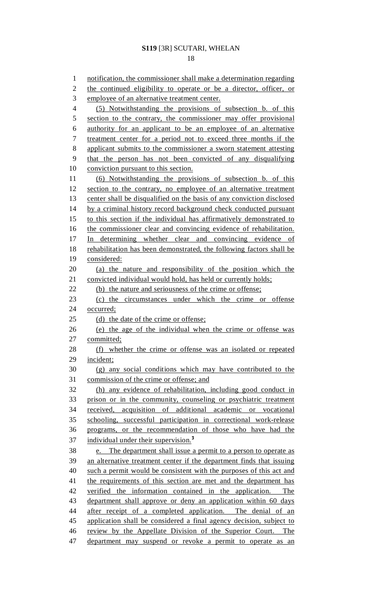18

1 notification, the commissioner shall make a determination regarding 2 the continued eligibility to operate or be a director, officer, or 3 employee of an alternative treatment center. 4 (5) Notwithstanding the provisions of subsection b. of this 5 section to the contrary, the commissioner may offer provisional 6 authority for an applicant to be an employee of an alternative 7 treatment center for a period not to exceed three months if the 8 applicant submits to the commissioner a sworn statement attesting 9 that the person has not been convicted of any disqualifying 10 conviction pursuant to this section. 11 (6) Notwithstanding the provisions of subsection b. of this 12 section to the contrary, no employee of an alternative treatment 13 center shall be disqualified on the basis of any conviction disclosed 14 by a criminal history record background check conducted pursuant 15 to this section if the individual has affirmatively demonstrated to 16 the commissioner clear and convincing evidence of rehabilitation. 17 In determining whether clear and convincing evidence of 18 rehabilitation has been demonstrated, the following factors shall be 19 considered: 20 (a) the nature and responsibility of the position which the 21 convicted individual would hold, has held or currently holds; 22 (b) the nature and seriousness of the crime or offense; 23 (c) the circumstances under which the crime or offense 24 occurred; 25 (d) the date of the crime or offense; 26 (e) the age of the individual when the crime or offense was 27 committed; 28 (f) whether the crime or offense was an isolated or repeated 29 incident; 30 (g) any social conditions which may have contributed to the 31 commission of the crime or offense; and 32 (h) any evidence of rehabilitation, including good conduct in 33 prison or in the community, counseling or psychiatric treatment 34 received, acquisition of additional academic or vocational 35 schooling, successful participation in correctional work-release 36 programs, or the recommendation of those who have had the 37 individual under their supervision.<sup>3</sup> 38 e. The department shall issue a permit to a person to operate as 39 an alternative treatment center if the department finds that issuing 40 such a permit would be consistent with the purposes of this act and 41 the requirements of this section are met and the department has 42 verified the information contained in the application. The 43 department shall approve or deny an application within 60 days 44 after receipt of a completed application. The denial of an 45 application shall be considered a final agency decision, subject to 46 review by the Appellate Division of the Superior Court. The 47 department may suspend or revoke a permit to operate as an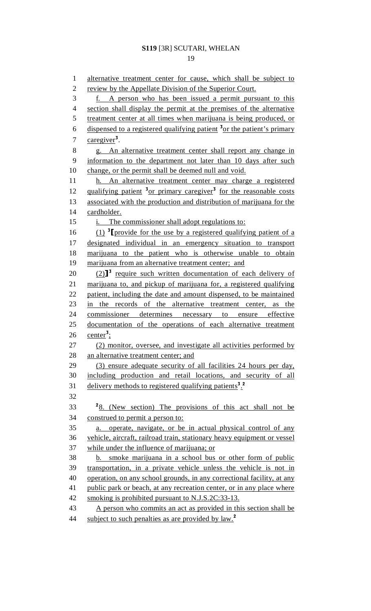19

1 alternative treatment center for cause, which shall be subject to 2 review by the Appellate Division of the Superior Court. 3 f. A person who has been issued a permit pursuant to this 4 section shall display the permit at the premises of the alternative 5 treatment center at all times when marijuana is being produced, or 6 dispensed to a registered qualifying patient  $\frac{3}{2}$  or the patient's primary 7 caregiver<sup>3</sup>. 8 g. An alternative treatment center shall report any change in 9 information to the department not later than 10 days after such 10 change, or the permit shall be deemed null and void. 11 h. An alternative treatment center may charge a registered 12 qualifying patient <sup>3</sup> or primary caregiver<sup>3</sup> for the reasonable costs 13 associated with the production and distribution of marijuana for the 14 cardholder. 15 i. The commissioner shall adopt regulations to: (1) <sup>3</sup> <sup>16</sup>[provide for the use by a registered qualifying patient of a designated individual in an emergency situation to transport 18 marijuana to the patient who is otherwise unable to obtain 19 marijuana from an alternative treatment center; and (2)<sup>3</sup> require such written documentation of each delivery of  $(2)$ <sup>3</sup> marijuana to, and pickup of marijuana for, a registered qualifying marijuana to, and pickup of marijuana for, a registered qualifying 22 patient, including the date and amount dispensed, to be maintained 23 in the records of the alternative treatment center, as the 24 commissioner determines necessary to ensure effective 25 documentation of the operations of each alternative treatment 26  $\text{center}^3$ ; 27 (2) monitor, oversee, and investigate all activities performed by 28 an alternative treatment center; and 29 (3) ensure adequate security of all facilities 24 hours per day, 30 including production and retail locations, and security of all 31 delivery methods to registered qualifying patients<sup>3</sup>.<sup>2</sup> 32 33 <sup>2</sup>8. (New section) The provisions of this act shall not be 34 construed to permit a person to: 35 a. operate, navigate, or be in actual physical control of any 36 vehicle, aircraft, railroad train, stationary heavy equipment or vessel 37 while under the influence of marijuana; or 38 b. smoke marijuana in a school bus or other form of public 39 transportation, in a private vehicle unless the vehicle is not in 40 operation, on any school grounds, in any correctional facility, at any 41 public park or beach, at any recreation center, or in any place where 42 smoking is prohibited pursuant to N.J.S.2C:33-13. 43 A person who commits an act as provided in this section shall be 44 subject to such penalties as are provided by law.<sup>2</sup>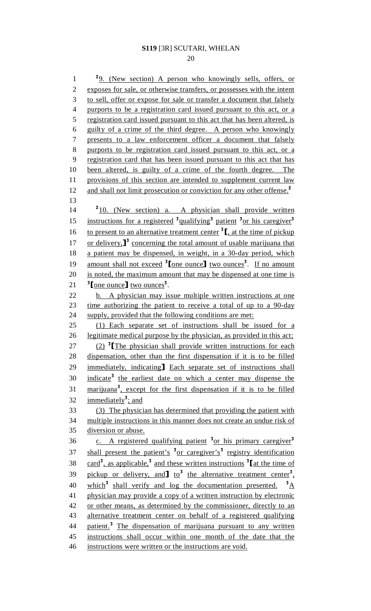20

<sup>2</sup>9. (New section) A person who knowingly sells, offers, or 2 exposes for sale, or otherwise transfers, or possesses with the intent 3 to sell, offer or expose for sale or transfer a document that falsely 4 purports to be a registration card issued pursuant to this act, or a 5 registration card issued pursuant to this act that has been altered, is 6 guilty of a crime of the third degree. A person who knowingly 7 presents to a law enforcement officer a document that falsely 8 purports to be registration card issued pursuant to this act, or a 9 registration card that has been issued pursuant to this act that has 10 been altered, is guilty of a crime of the fourth degree. The 11 provisions of this section are intended to supplement current law 12 and shall not limit prosecution or conviction for any other offense.<sup>2</sup> 13 14 <sup>2</sup>10. (New section) a. A physician shall provide written 15 instructions for a registered <sup>3</sup>qualifying<sup>3</sup> patient <sup>3</sup> or his caregiver<sup>3</sup> to present to an alternative treatment center  $\binom{3}{1}$ , at the time of pickup<br>17 or delivery.  $\binom{3}{}$  concerning the total amount of usable marijuana that 17 or delivery,  $J^3$  concerning the total amount of usable marijuana that 18 a patient may be dispensed, in weight, in a 30-day period, which a patient may be dispensed, in weight, in a 30-day period, which 19 amount shall not exceed  $\frac{3}{2}$  [one ounce] two ounces<sup>3</sup>. If no amount 20 is noted, the maximum amount that may be dispensed at one time is 21  $\frac{3}{2}$  [one ounce] two ounces<sup>3</sup>. 22 b. A physician may issue multiple written instructions at one 23 time authorizing the patient to receive a total of up to a 90-day 24 supply, provided that the following conditions are met: 25 (1) Each separate set of instructions shall be issued for a 26 legitimate medical purpose by the physician, as provided in this act; (2)  $\frac{1}{2}$  (2)  $\frac{1}{2}$  The physician shall provide written instructions for each 28 dispensation, other than the first dispensation if it is to be filled dispensation, other than the first dispensation if it is to be filled 29 immediately, indicating Each separate set of instructions shall<br>30 indicate<sup>3</sup> the earliest date on which a center may dispense the indicate<sup>3</sup> the earliest date on which a center may dispense the 31 marijuana<sup>3</sup>, except for the first dispensation if it is to be filled 32 immediately<sup>3</sup>; and 33 (3) The physician has determined that providing the patient with 34 multiple instructions in this manner does not create an undue risk of 35 diversion or abuse. 36 c. A registered qualifying patient <sup>3</sup> or his primary caregiver<sup>3</sup> 37 shall present the patient's <sup>3</sup> or caregiver's<sup>3</sup> registry identification 38 card<sup>3</sup>, as applicable,<sup>3</sup> and these written instructions  $\frac{3}{4}$  at the time of 39 pickup or delivery, and  $\frac{1}{2}$  to the alternative treatment center<sup>3</sup>, 40 which<sup>3</sup> shall verify and log the documentation presented.  ${}^{3}$ A 41 physician may provide a copy of a written instruction by electronic 42 or other means, as determined by the commissioner, directly to an 43 alternative treatment center on behalf of a registered qualifying 44 patient.<sup>3</sup> The dispensation of marijuana pursuant to any written 45 instructions shall occur within one month of the date that the 46 instructions were written or the instructions are void.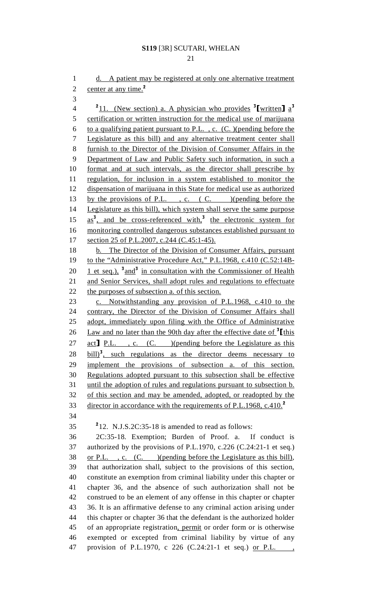21

1 d. A patient may be registered at only one alternative treatment 2 center at any time.<sup>2</sup> 3  $\frac{2}{11}$ . (New section) a. A physician who provides  $\frac{3}{1}$  written]  $a^3$ 5 certification or written instruction for the medical use of marijuana 6 to a qualifying patient pursuant to P.L., c.  $(C. )$  (pending before the 7 Legislature as this bill) and any alternative treatment center shall 8 furnish to the Director of the Division of Consumer Affairs in the 9 Department of Law and Public Safety such information, in such a 10 format and at such intervals, as the director shall prescribe by 11 regulation, for inclusion in a system established to monitor the 12 dispensation of marijuana in this State for medical use as authorized 13 by the provisions of P.L., c. (C. )(pending before the 14 Legislature as this bill), which system shall serve the same purpose  $15$   $\text{as}^3$ , and be cross-referenced with,<sup>3</sup> the electronic system for 16 monitoring controlled dangerous substances established pursuant to 17 section 25 of P.L.2007, c.244 (C.45:1-45). 18 b. The Director of the Division of Consumer Affairs, pursuant 19 to the "Administrative Procedure Act," P.L.1968, c.410 (C.52:14B-20 <u>1 et seq.),  $3$  and</u> in consultation with the Commissioner of Health 21 and Senior Services, shall adopt rules and regulations to effectuate 22 the purposes of subsection a. of this section. 23 c. Notwithstanding any provision of P.L.1968, c.410 to the 24 contrary, the Director of the Division of Consumer Affairs shall 25 adopt, immediately upon filing with the Office of Administrative 26 Law and no later than the 90th day after the effective date of  $\frac{3}{\text{This}}$ <br>27 act P.L. . C. (C. )(pending before the Legislature as this 27 act] P.L. , c.  $(C.$  )(pending before the Legislature as this 28 bill)<sup>3</sup>, such regulations as the director deems necessary to bill)<sup>3</sup>, such regulations as the director deems necessary to 29 implement the provisions of subsection a. of this section. 30 Regulations adopted pursuant to this subsection shall be effective 31 until the adoption of rules and regulations pursuant to subsection b. 32 of this section and may be amended, adopted, or readopted by the director in accordance with the requirements of P.L.1968, c.410.<sup>2</sup> 34  $212. \text{ N.J.S.2C:35-18 is amended to read as follows:}$ 36 2C:35-18. Exemption; Burden of Proof. a. If conduct is 37 authorized by the provisions of P.L.1970, c.226 (C.24:21-1 et seq.) 38 or P.L. , c. (C. )(pending before the Legislature as this bill), 39 that authorization shall, subject to the provisions of this section, 40 constitute an exemption from criminal liability under this chapter or 41 chapter 36, and the absence of such authorization shall not be 42 construed to be an element of any offense in this chapter or chapter 43 36. It is an affirmative defense to any criminal action arising under 44 this chapter or chapter 36 that the defendant is the authorized holder 45 of an appropriate registration, permit or order form or is otherwise 46 exempted or excepted from criminal liability by virtue of any 47 provision of P.L.1970, c 226 (C.24:21-1 et seq.) or P.L.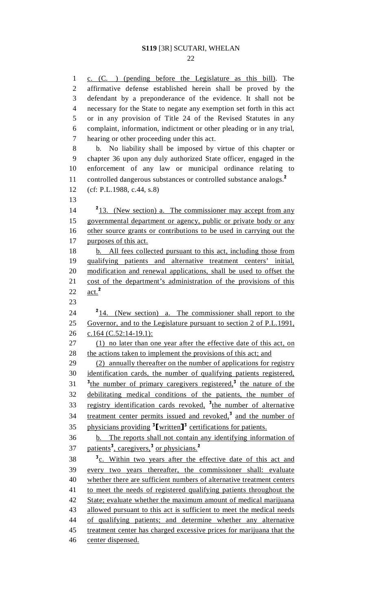1 c. (C. ) (pending before the Legislature as this bill). The 2 affirmative defense established herein shall be proved by the 3 defendant by a preponderance of the evidence. It shall not be 4 necessary for the State to negate any exemption set forth in this act 5 or in any provision of Title 24 of the Revised Statutes in any 6 complaint, information, indictment or other pleading or in any trial, 7 hearing or other proceeding under this act. 8 b. No liability shall be imposed by virtue of this chapter or 9 chapter 36 upon any duly authorized State officer, engaged in the 10 enforcement of any law or municipal ordinance relating to 11 controlled dangerous substances or controlled substance analogs.<sup>2</sup> 12 (cf: P.L.1988, c.44, s.8) 13  $14 \frac{213}{2}$ . (New section) a. The commissioner may accept from any 15 governmental department or agency, public or private body or any 16 other source grants or contributions to be used in carrying out the 17 purposes of this act. 18 b. All fees collected pursuant to this act, including those from 19 qualifying patients and alternative treatment centers' initial, 20 modification and renewal applications, shall be used to offset the 21 cost of the department's administration of the provisions of this 22  $\mathrm{act.}^2$ 23  $24 \t 24 \t 24$  (New section) a. The commissioner shall report to the 25 Governor, and to the Legislature pursuant to section 2 of P.L.1991, 26 c.164 (C.52:14-19.1): 27 (1) no later than one year after the effective date of this act, on 28 the actions taken to implement the provisions of this act; and 29 (2) annually thereafter on the number of applications for registry 30 identification cards, the number of qualifying patients registered, 31 <sup>3</sup> the number of primary caregivers registered,<sup>3</sup> the nature of the 32 debilitating medical conditions of the patients, the number of 33 registry identification cards revoked,  $3$ <sub>the number of alternative</sub> 34 treatment center permits issued and revoked,<sup>3</sup> and the number of 35 physicians providing  $\frac{3}{2}$  [written]<sup>3</sup> certifications for patients. 36 b. The reports shall not contain any identifying information of 37 patients<sup>3</sup>, caregivers,<sup>3</sup> or physicians.<sup>2</sup> 38 <sup>3</sup><sub>C.</sub> Within two years after the effective date of this act and 39 every two years thereafter, the commissioner shall: evaluate 40 whether there are sufficient numbers of alternative treatment centers 41 to meet the needs of registered qualifying patients throughout the 42 State; evaluate whether the maximum amount of medical marijuana 43 allowed pursuant to this act is sufficient to meet the medical needs 44 of qualifying patients; and determine whether any alternative 45 treatment center has charged excessive prices for marijuana that the 46 center dispensed.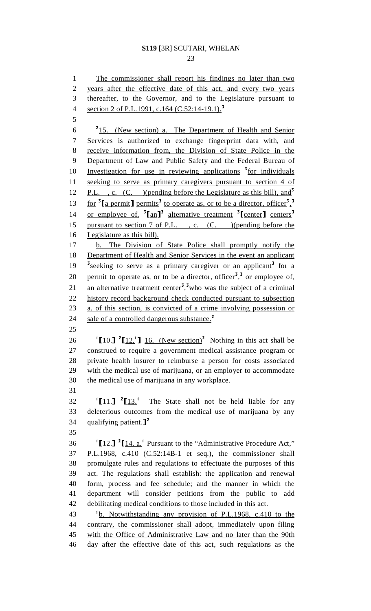1 The commissioner shall report his findings no later than two 2 years after the effective date of this act, and every two years 3 thereafter, to the Governor, and to the Legislature pursuant to 4 section 2 of P.L.1991, c.164 (C.52:14-19.1).<sup>3</sup> 5  $2^{15}$ . (New section) a. The Department of Health and Senior 7 Services is authorized to exchange fingerprint data with, and 8 receive information from, the Division of State Police in the 9 Department of Law and Public Safety and the Federal Bureau of  $10$  Investigation for use in reviewing applications  $\frac{3}{2}$  for individuals 11 seeking to serve as primary caregivers pursuant to section 4 of 12 P.L., c. (C. )(pending before the Legislature as this bill), and  $3$ 13 for  $\frac{3}{2}$  [a permit] permits<sup>3</sup> to operate as, or to be a director, officer<sup>3</sup>,<sup>3</sup> 14 or employee of,  ${}^{3}$ [an]<sup>3</sup> alternative treatment  ${}^{3}$ [center] centers<sup>3</sup> 15 pursuant to section 7 of P.L. , c. (C. )(pending before the 16 Legislature as this bill). 17 b. The Division of State Police shall promptly notify the 18 Department of Health and Senior Services in the event an applicant <sup>3</sup> seeking to serve as a primary caregiver or an applicant<sup>3</sup> for a 20 permit to operate as, or to be a director, officer<sup>3</sup>,<sup>3</sup> or employee of, 21 an alternative treatment center<sup>3</sup>,<sup>3</sup> who was the subject of a criminal 22 history record background check conducted pursuant to subsection 23 a. of this section, is convicted of a crime involving possession or 24 sale of a controlled dangerous substance.<sup>2</sup> 25 26  $\left[10.\right]$   $\left[12.\right]$   $\left[16.\right]$  (New section)<sup>2</sup> Nothing in this act shall be 27 construed to require a government medical assistance program or 28 private health insurer to reimburse a person for costs associated 29 with the medical use of marijuana, or an employer to accommodate 30 the medical use of marijuana in any workplace. 31 1 [11.] <sup>2</sup> [13.<sup>1</sup> 32 The State shall not be held liable for any 33 deleterious outcomes from the medical use of marijuana by any 34 qualifying patient. $]^{2}$ 35  $112.$ ]  $2[\underline{14} \cdot \underline{a}]$ . Pursuant to the "Administrative Procedure Act," 37 P.L.1968, c.410 (C.52:14B-1 et seq.), the commissioner shall 38 promulgate rules and regulations to effectuate the purposes of this 39 act. The regulations shall establish: the application and renewal 40 form, process and fee schedule; and the manner in which the 41 department will consider petitions from the public to add 42 debilitating medical conditions to those included in this act. 43 <sup>1</sup>b. Notwithstanding any provision of P.L.1968, c.410 to the 44 contrary, the commissioner shall adopt, immediately upon filing 45 with the Office of Administrative Law and no later than the 90th

46 day after the effective date of this act, such regulations as the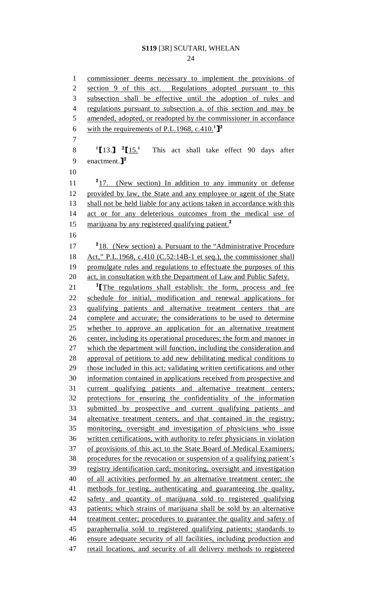24

1 commissioner deems necessary to implement the provisions of 2 section 9 of this act. Regulations adopted pursuant to this 3 subsection shall be effective until the adoption of rules and 4 regulations pursuant to subsection a. of this section and may be 5 amended, adopted, or readopted by the commissioner in accordance 6 with the requirements of P.L.1968, c.410.<sup>1</sup>]<sup>2</sup> 7  $\frac{1}{2}$ [13.]<sup>2</sup> 8  $\frac{1}{13.1}$   $\frac{2}{15.1}$  This act shall take effect 90 days after<br>9 enactment.<sup>12</sup> enactment. $]^{2}$  10  $217.$  (New section) In addition to any immunity or defense 12 provided by law, the State and any employee or agent of the State 13 shall not be held liable for any actions taken in accordance with this 14 act or for any deleterious outcomes from the medical use of 15 marijuana by any registered qualifying patient.<sup>2</sup> 16  $17 \frac{218}{18}$ . (New section) a. Pursuant to the "Administrative Procedure 18 Act," P.L.1968, c.410 (C.52:14B-1 et seq.), the commissioner shall 19 promulgate rules and regulations to effectuate the purposes of this 20 act, in consultation with the Department of Law and Public Safety.  $\frac{3}{\pi}$   $\frac{3}{\pi}$  The regulations shall establish: the form, process and fee<br>22 schedule for initial, modification and renewal applications for schedule for initial, modification and renewal applications for 23 qualifying patients and alternative treatment centers that are 24 complete and accurate; the considerations to be used to determine 25 whether to approve an application for an alternative treatment 26 center, including its operational procedures; the form and manner in 27 which the department will function, including the consideration and 28 approval of petitions to add new debilitating medical conditions to 29 those included in this act; validating written certifications and other 30 information contained in applications received from prospective and 31 current qualifying patients and alternative treatment centers; 32 protections for ensuring the confidentiality of the information 33 submitted by prospective and current qualifying patients and 34 alternative treatment centers, and that contained in the registry; 35 monitoring, oversight and investigation of physicians who issue 36 written certifications, with authority to refer physicians in violation 37 of provisions of this act to the State Board of Medical Examiners; 38 procedures for the revocation or suspension of a qualifying patient's 39 registry identification card; monitoring, oversight and investigation 40 of all activities performed by an alternative treatment center; the 41 methods for testing, authenticating and guaranteeing the quality, 42 safety and quantity of marijuana sold to registered qualifying 43 patients; which strains of marijuana shall be sold by an alternative 44 treatment center; procedures to guarantee the quality and safety of 45 paraphernalia sold to registered qualifying patients; standards to 46 ensure adequate security of all facilities, including production and 47 retail locations, and security of all delivery methods to registered